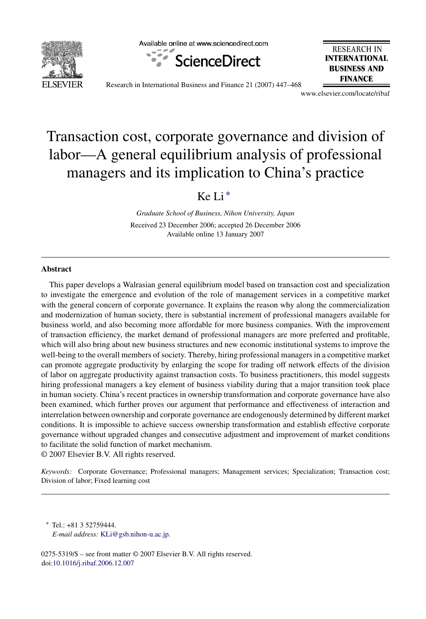

Available online at www.sciencedirect.com



**RESEARCH IN INTERNATIONAL BUSINESS AND FINANCE** 

Research in International Business and Finance 21 (2007) 447–468

www.elsevier.com/locate/ribaf

# Transaction cost, corporate governance and division of labor—A general equilibrium analysis of professional managers and its implication to China's practice

### Ke Li <sup>∗</sup>

*Graduate School of Business, Nihon University, Japan* Received 23 December 2006; accepted 26 December 2006 Available online 13 January 2007

#### **Abstract**

This paper develops a Walrasian general equilibrium model based on transaction cost and specialization to investigate the emergence and evolution of the role of management services in a competitive market with the general concern of corporate governance. It explains the reason why along the commercialization and modernization of human society, there is substantial increment of professional managers available for business world, and also becoming more affordable for more business companies. With the improvement of transaction efficiency, the market demand of professional managers are more preferred and profitable, which will also bring about new business structures and new economic institutional systems to improve the well-being to the overall members of society. Thereby, hiring professional managers in a competitive market can promote aggregate productivity by enlarging the scope for trading off network effects of the division of labor on aggregate productivity against transaction costs. To business practitioners, this model suggests hiring professional managers a key element of business viability during that a major transition took place in human society. China's recent practices in ownership transformation and corporate governance have also been examined, which further proves our argument that performance and effectiveness of interaction and interrelation between ownership and corporate governance are endogenously determined by different market conditions. It is impossible to achieve success ownership transformation and establish effective corporate governance without upgraded changes and consecutive adjustment and improvement of market conditions to facilitate the solid function of market mechanism.

© 2007 Elsevier B.V. All rights reserved.

*Keywords:* Corporate Governance; Professional managers; Management services; Specialization; Transaction cost; Division of labor; Fixed learning cost

<sup>∗</sup> Tel.: +81 3 52759444. *E-mail address:* [KLi@gsb.nihon-u.ac.jp](mailto:KLi@gsb.nihon-u.ac.jp).

0275-5319/\$ – see front matter © 2007 Elsevier B.V. All rights reserved. doi[:10.1016/j.ribaf.2006.12.007](dx.doi.org/10.1016/j.ribaf.2006.12.007)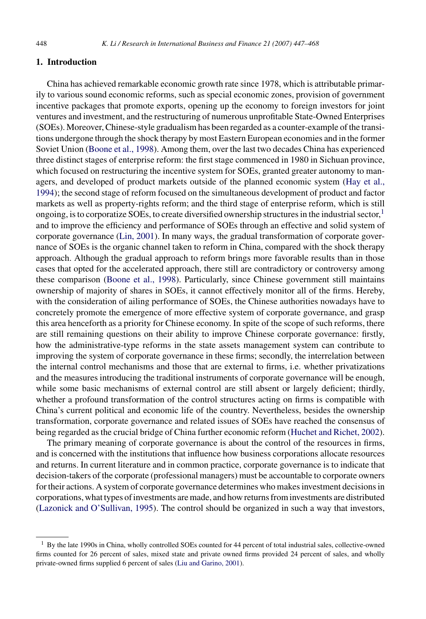#### **1. Introduction**

China has achieved remarkable economic growth rate since 1978, which is attributable primarily to various sound economic reforms, such as special economic zones, provision of government incentive packages that promote exports, opening up the economy to foreign investors for joint ventures and investment, and the restructuring of numerous unprofitable State-Owned Enterprises (SOEs). Moreover, Chinese-style gradualism has been regarded as a counter-example of the transitions undergone through the shock therapy by most Eastern European economies and in the former Soviet Union [\(Boone et al., 1998\).](#page--1-0) Among them, over the last two decades China has experienced three distinct stages of enterprise reform: the first stage commenced in 1980 in Sichuan province, which focused on restructuring the incentive system for SOEs, granted greater autonomy to managers, and developed of product markets outside of the planned economic system [\(Hay et al.,](#page--1-0) [1994\);](#page--1-0) the second stage of reform focused on the simultaneous development of product and factor markets as well as property-rights reform; and the third stage of enterprise reform, which is still ongoing, is to corporatize SOEs, to create diversified ownership structures in the industrial sector, $1$ and to improve the efficiency and performance of SOEs through an effective and solid system of corporate governance ([Lin, 2001\).](#page--1-0) In many ways, the gradual transformation of corporate governance of SOEs is the organic channel taken to reform in China, compared with the shock therapy approach. Although the gradual approach to reform brings more favorable results than in those cases that opted for the accelerated approach, there still are contradictory or controversy among these comparison ([Boone et al., 1998\).](#page--1-0) Particularly, since Chinese government still maintains ownership of majority of shares in SOEs, it cannot effectively monitor all of the firms. Hereby, with the consideration of ailing performance of SOEs, the Chinese authorities nowadays have to concretely promote the emergence of more effective system of corporate governance, and grasp this area henceforth as a priority for Chinese economy. In spite of the scope of such reforms, there are still remaining questions on their ability to improve Chinese corporate governance: firstly, how the administrative-type reforms in the state assets management system can contribute to improving the system of corporate governance in these firms; secondly, the interrelation between the internal control mechanisms and those that are external to firms, i.e. whether privatizations and the measures introducing the traditional instruments of corporate governance will be enough, while some basic mechanisms of external control are still absent or largely deficient; thirdly, whether a profound transformation of the control structures acting on firms is compatible with China's current political and economic life of the country. Nevertheless, besides the ownership transformation, corporate governance and related issues of SOEs have reached the consensus of being regarded as the crucial bridge of China further economic reform ([Huchet and Richet, 2002\).](#page--1-0)

The primary meaning of corporate governance is about the control of the resources in firms, and is concerned with the institutions that influence how business corporations allocate resources and returns. In current literature and in common practice, corporate governance is to indicate that decision-takers of the corporate (professional managers) must be accountable to corporate owners for their actions. A system of corporate governance determines who makes investment decisions in corporations, what types of investments are made, and how returns from investments are distributed ([Lazonick and O'Sullivan, 1995\).](#page--1-0) The control should be organized in such a way that investors,

<sup>&</sup>lt;sup>1</sup> By the late 1990s in China, wholly controlled SOEs counted for 44 percent of total industrial sales, collective-owned firms counted for 26 percent of sales, mixed state and private owned firms provided 24 percent of sales, and wholly private-owned firms supplied 6 percent of sales ([Liu and Garino, 2001\).](#page--1-0)